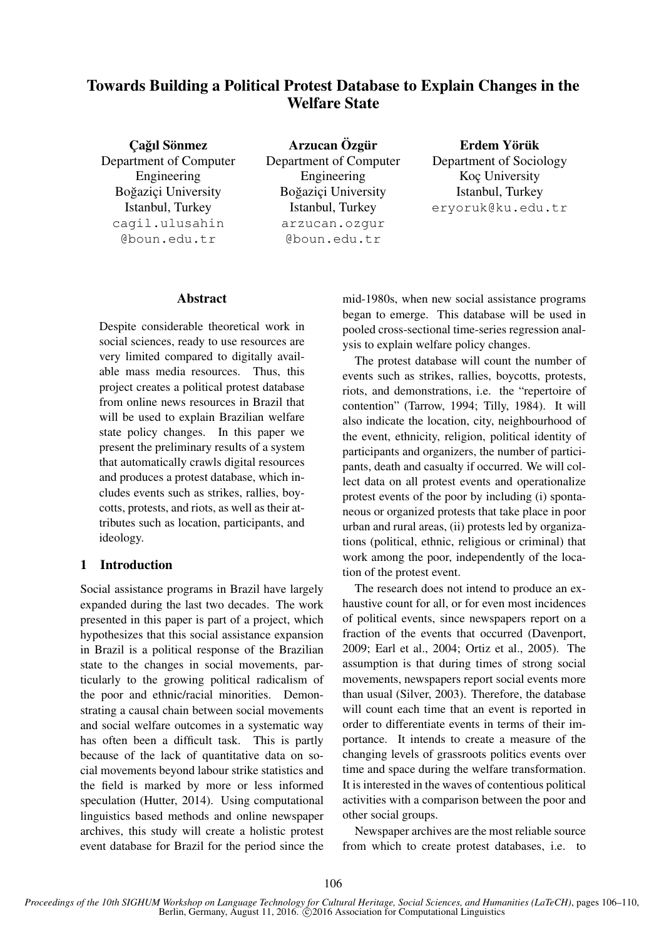# Towards Building a Political Protest Database to Explain Changes in the Welfare State

Cağıl Sönmez Department of Computer Engineering Boğazici University Istanbul, Turkey cagil.ulusahin @boun.edu.tr

Arzucan Özgür Department of Computer Engineering Boğazici University Istanbul, Turkey arzucan.ozgur @boun.edu.tr

Erdem Yörük Department of Sociology Koc University Istanbul, Turkey eryoruk@ku.edu.tr

## Abstract

Despite considerable theoretical work in social sciences, ready to use resources are very limited compared to digitally available mass media resources. Thus, this project creates a political protest database from online news resources in Brazil that will be used to explain Brazilian welfare state policy changes. In this paper we present the preliminary results of a system that automatically crawls digital resources and produces a protest database, which includes events such as strikes, rallies, boycotts, protests, and riots, as well as their attributes such as location, participants, and ideology.

# 1 Introduction

Social assistance programs in Brazil have largely expanded during the last two decades. The work presented in this paper is part of a project, which hypothesizes that this social assistance expansion in Brazil is a political response of the Brazilian state to the changes in social movements, particularly to the growing political radicalism of the poor and ethnic/racial minorities. Demonstrating a causal chain between social movements and social welfare outcomes in a systematic way has often been a difficult task. This is partly because of the lack of quantitative data on social movements beyond labour strike statistics and the field is marked by more or less informed speculation (Hutter, 2014). Using computational linguistics based methods and online newspaper archives, this study will create a holistic protest event database for Brazil for the period since the mid-1980s, when new social assistance programs began to emerge. This database will be used in pooled cross-sectional time-series regression analysis to explain welfare policy changes.

The protest database will count the number of events such as strikes, rallies, boycotts, protests, riots, and demonstrations, i.e. the "repertoire of contention" (Tarrow, 1994; Tilly, 1984). It will also indicate the location, city, neighbourhood of the event, ethnicity, religion, political identity of participants and organizers, the number of participants, death and casualty if occurred. We will collect data on all protest events and operationalize protest events of the poor by including (i) spontaneous or organized protests that take place in poor urban and rural areas, (ii) protests led by organizations (political, ethnic, religious or criminal) that work among the poor, independently of the location of the protest event.

The research does not intend to produce an exhaustive count for all, or for even most incidences of political events, since newspapers report on a fraction of the events that occurred (Davenport, 2009; Earl et al., 2004; Ortiz et al., 2005). The assumption is that during times of strong social movements, newspapers report social events more than usual (Silver, 2003). Therefore, the database will count each time that an event is reported in order to differentiate events in terms of their importance. It intends to create a measure of the changing levels of grassroots politics events over time and space during the welfare transformation. It is interested in the waves of contentious political activities with a comparison between the poor and other social groups.

Newspaper archives are the most reliable source from which to create protest databases, i.e. to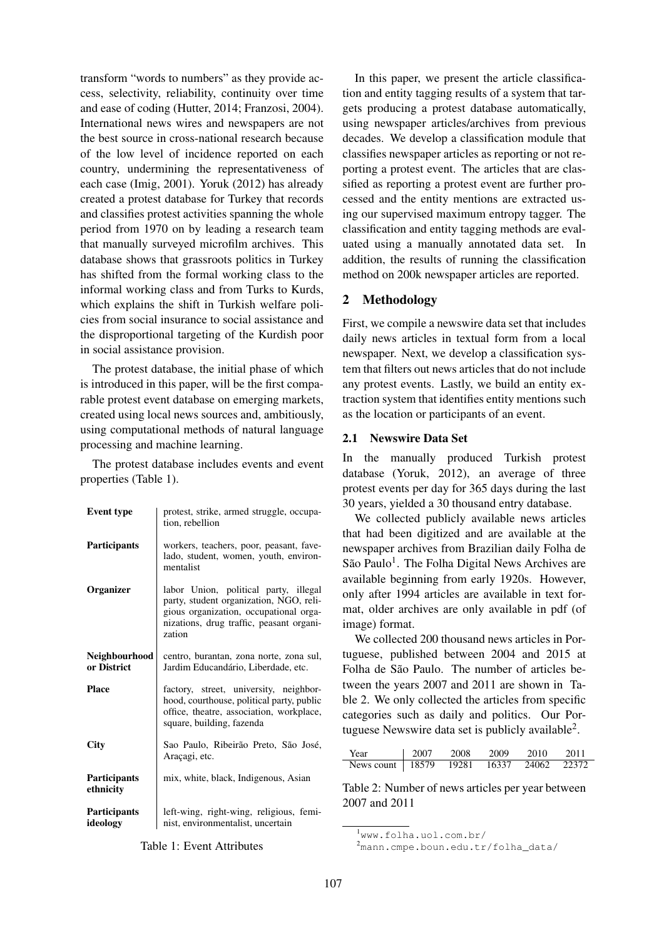transform "words to numbers" as they provide access, selectivity, reliability, continuity over time and ease of coding (Hutter, 2014; Franzosi, 2004). International news wires and newspapers are not the best source in cross-national research because of the low level of incidence reported on each country, undermining the representativeness of each case (Imig, 2001). Yoruk (2012) has already created a protest database for Turkey that records and classifies protest activities spanning the whole period from 1970 on by leading a research team that manually surveyed microfilm archives. This database shows that grassroots politics in Turkey has shifted from the formal working class to the informal working class and from Turks to Kurds, which explains the shift in Turkish welfare policies from social insurance to social assistance and the disproportional targeting of the Kurdish poor in social assistance provision.

The protest database, the initial phase of which is introduced in this paper, will be the first comparable protest event database on emerging markets, created using local news sources and, ambitiously, using computational methods of natural language processing and machine learning.

The protest database includes events and event properties (Table 1).

| <b>Event type</b>               | protest, strike, armed struggle, occupa-<br>tion, rebellion                                                                                                                      |  |  |  |  |
|---------------------------------|----------------------------------------------------------------------------------------------------------------------------------------------------------------------------------|--|--|--|--|
| <b>Participants</b>             | workers, teachers, poor, peasant, fave-<br>lado, student, women, youth, environ-<br>mentalist                                                                                    |  |  |  |  |
| Organizer                       | labor Union, political party, illegal<br>party, student organization, NGO, reli-<br>gious organization, occupational orga-<br>nizations, drug traffic, peasant organi-<br>zation |  |  |  |  |
| Neighbourhood<br>or District    | centro, burantan, zona norte, zona sul,<br>Jardim Educandário, Liberdade, etc.                                                                                                   |  |  |  |  |
| <b>Place</b>                    | factory, street, university, neighbor-<br>hood, courthouse, political party, public<br>office, theatre, association, workplace,<br>square, building, fazenda                     |  |  |  |  |
| City                            | Sao Paulo, Ribeirão Preto, São José,<br>Araçagi, etc.                                                                                                                            |  |  |  |  |
| Participants<br>ethnicity       | mix, white, black, Indigenous, Asian                                                                                                                                             |  |  |  |  |
| <b>Participants</b><br>ideology | left-wing, right-wing, religious, femi-<br>nist, environmentalist, uncertain                                                                                                     |  |  |  |  |

In this paper, we present the article classification and entity tagging results of a system that targets producing a protest database automatically, using newspaper articles/archives from previous decades. We develop a classification module that classifies newspaper articles as reporting or not reporting a protest event. The articles that are classified as reporting a protest event are further processed and the entity mentions are extracted using our supervised maximum entropy tagger. The classification and entity tagging methods are evaluated using a manually annotated data set. In addition, the results of running the classification method on 200k newspaper articles are reported.

## 2 Methodology

First, we compile a newswire data set that includes daily news articles in textual form from a local newspaper. Next, we develop a classification system that filters out news articles that do not include any protest events. Lastly, we build an entity extraction system that identifies entity mentions such as the location or participants of an event.

## 2.1 Newswire Data Set

In the manually produced Turkish protest database (Yoruk, 2012), an average of three protest events per day for 365 days during the last 30 years, yielded a 30 thousand entry database.

We collected publicly available news articles that had been digitized and are available at the newspaper archives from Brazilian daily Folha de São Paulo<sup>1</sup>. The Folha Digital News Archives are available beginning from early 1920s. However, only after 1994 articles are available in text format, older archives are only available in pdf (of image) format.

We collected 200 thousand news articles in Portuguese, published between 2004 and 2015 at Folha de São Paulo. The number of articles between the years 2007 and 2011 are shown in Table 2. We only collected the articles from specific categories such as daily and politics. Our Portuguese Newswire data set is publicly available<sup>2</sup>.

| Year                                       | 2007 2008 |  | 2009 2010 2011 |  |
|--------------------------------------------|-----------|--|----------------|--|
| News count   18579 19281 16337 24062 22372 |           |  |                |  |

Table 2: Number of news articles per year between 2007 and 2011

Table 1: Event Attributes

<sup>1</sup>www.folha.uol.com.br/

<sup>2</sup>mann.cmpe.boun.edu.tr/folha\_data/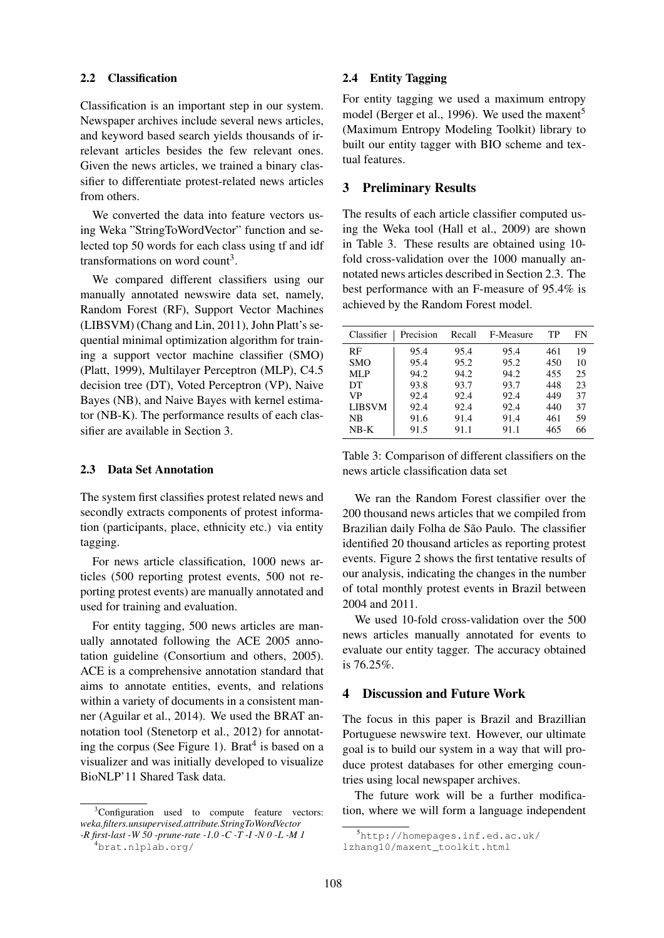### 2.2 Classification

Classification is an important step in our system. Newspaper archives include several news articles, and keyword based search yields thousands of irrelevant articles besides the few relevant ones. Given the news articles, we trained a binary classifier to differentiate protest-related news articles from others.

We converted the data into feature vectors using Weka "StringToWordVector" function and selected top 50 words for each class using tf and idf transformations on word count<sup>3</sup>.

We compared different classifiers using our manually annotated newswire data set, namely, Random Forest (RF), Support Vector Machines (LIBSVM) (Chang and Lin, 2011), John Platt's sequential minimal optimization algorithm for training a support vector machine classifier (SMO) (Platt, 1999), Multilayer Perceptron (MLP), C4.5 decision tree (DT), Voted Perceptron (VP), Naive Bayes (NB), and Naive Bayes with kernel estimator (NB-K). The performance results of each classifier are available in Section 3.

## 2.3 Data Set Annotation

The system first classifies protest related news and secondly extracts components of protest information (participants, place, ethnicity etc.) via entity tagging.

For news article classification, 1000 news articles (500 reporting protest events, 500 not reporting protest events) are manually annotated and used for training and evaluation.

For entity tagging, 500 news articles are manually annotated following the ACE 2005 annotation guideline (Consortium and others, 2005). ACE is a comprehensive annotation standard that aims to annotate entities, events, and relations within a variety of documents in a consistent manner (Aguilar et al., 2014). We used the BRAT annotation tool (Stenetorp et al., 2012) for annotating the corpus (See Figure 1). Brat<sup>4</sup> is based on a visualizer and was initially developed to visualize BioNLP'11 Shared Task data.

#### 2.4 Entity Tagging

For entity tagging we used a maximum entropy model (Berger et al., 1996). We used the maxent<sup>5</sup> (Maximum Entropy Modeling Toolkit) library to built our entity tagger with BIO scheme and textual features.

## 3 Preliminary Results

The results of each article classifier computed using the Weka tool (Hall et al., 2009) are shown in Table 3. These results are obtained using 10 fold cross-validation over the 1000 manually annotated news articles described in Section 2.3. The best performance with an F-measure of 95.4% is achieved by the Random Forest model.

| Classifier    | Precision | Recall | F-Measure | TР  | FN |
|---------------|-----------|--------|-----------|-----|----|
| RF            | 95.4      | 95.4   | 95.4      | 461 | 19 |
| <b>SMO</b>    | 95.4      | 95.2   | 95.2      | 450 | 10 |
| MLP           | 94.2      | 94.2   | 94.2      | 455 | 25 |
| DT            | 93.8      | 93.7   | 93.7      | 448 | 23 |
| VP            | 92.4      | 92.4   | 92.4      | 449 | 37 |
| <b>LIBSVM</b> | 92.4      | 92.4   | 92.4      | 440 | 37 |
| NB            | 91.6      | 91.4   | 91.4      | 461 | 59 |
| $NB-K$        | 91.5      | 91.1   | 91.1      | 465 | 66 |

Table 3: Comparison of different classifiers on the news article classification data set

We ran the Random Forest classifier over the 200 thousand news articles that we compiled from Brazilian daily Folha de São Paulo. The classifier identified 20 thousand articles as reporting protest events. Figure 2 shows the first tentative results of our analysis, indicating the changes in the number of total monthly protest events in Brazil between 2004 and 2011.

We used 10-fold cross-validation over the 500 news articles manually annotated for events to evaluate our entity tagger. The accuracy obtained is 76.25%.

#### 4 Discussion and Future Work

The focus in this paper is Brazil and Brazillian Portuguese newswire text. However, our ultimate goal is to build our system in a way that will produce protest databases for other emerging countries using local newspaper archives.

The future work will be a further modification, where we will form a language independent

<sup>&</sup>lt;sup>3</sup>Configuration used to compute feature vectors: *weka.filters.unsupervised.attribute.StringToWordVector -R first-last -W 50 -prune-rate -1.0 -C -T -I -N 0 -L -M 1*

<sup>4</sup>brat.nlplab.org/

 $5$ http://homepages.inf.ed.ac.uk/

lzhang10/maxent\_toolkit.html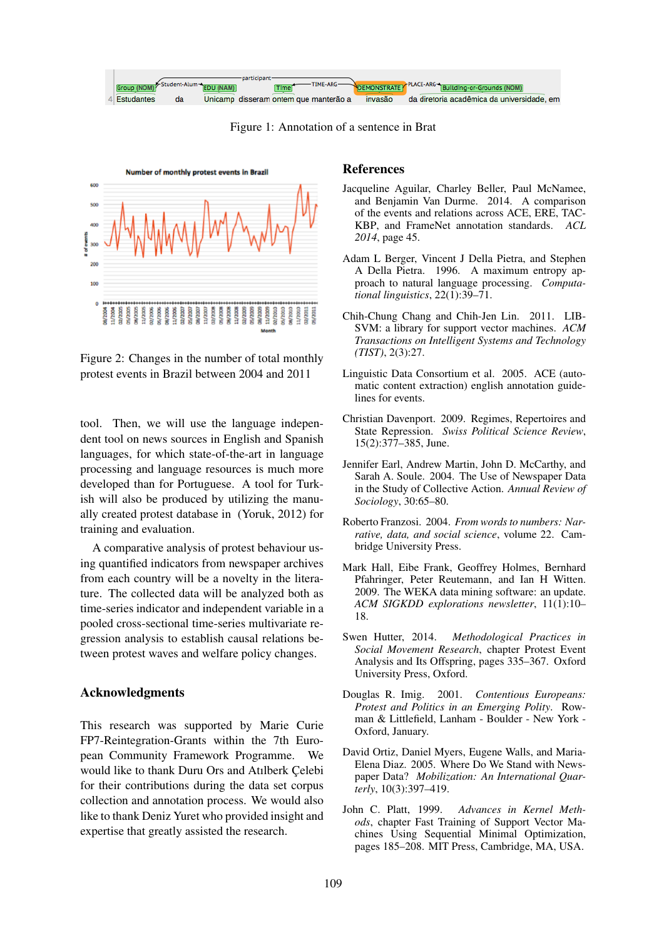

Figure 1: Annotation of a sentence in Brat



Figure 2: Changes in the number of total monthly protest events in Brazil between 2004 and 2011

tool. Then, we will use the language independent tool on news sources in English and Spanish languages, for which state-of-the-art in language processing and language resources is much more developed than for Portuguese. A tool for Turkish will also be produced by utilizing the manually created protest database in (Yoruk, 2012) for training and evaluation.

A comparative analysis of protest behaviour using quantified indicators from newspaper archives from each country will be a novelty in the literature. The collected data will be analyzed both as time-series indicator and independent variable in a pooled cross-sectional time-series multivariate regression analysis to establish causal relations between protest waves and welfare policy changes.

### Acknowledgments

This research was supported by Marie Curie FP7-Reintegration-Grants within the 7th European Community Framework Programme. We would like to thank Duru Ors and Atılberk Celebi for their contributions during the data set corpus collection and annotation process. We would also like to thank Deniz Yuret who provided insight and expertise that greatly assisted the research.

#### References

- Jacqueline Aguilar, Charley Beller, Paul McNamee, and Benjamin Van Durme. 2014. A comparison of the events and relations across ACE, ERE, TAC-KBP, and FrameNet annotation standards. *ACL 2014*, page 45.
- Adam L Berger, Vincent J Della Pietra, and Stephen A Della Pietra. 1996. A maximum entropy approach to natural language processing. *Computational linguistics*, 22(1):39–71.
- Chih-Chung Chang and Chih-Jen Lin. 2011. LIB-SVM: a library for support vector machines. *ACM Transactions on Intelligent Systems and Technology (TIST)*, 2(3):27.
- Linguistic Data Consortium et al. 2005. ACE (automatic content extraction) english annotation guidelines for events.
- Christian Davenport. 2009. Regimes, Repertoires and State Repression. *Swiss Political Science Review*, 15(2):377–385, June.
- Jennifer Earl, Andrew Martin, John D. McCarthy, and Sarah A. Soule. 2004. The Use of Newspaper Data in the Study of Collective Action. *Annual Review of Sociology*, 30:65–80.
- Roberto Franzosi. 2004. *From words to numbers: Narrative, data, and social science*, volume 22. Cambridge University Press.
- Mark Hall, Eibe Frank, Geoffrey Holmes, Bernhard Pfahringer, Peter Reutemann, and Ian H Witten. 2009. The WEKA data mining software: an update. *ACM SIGKDD explorations newsletter*, 11(1):10– 18.
- Swen Hutter, 2014. *Methodological Practices in Social Movement Research*, chapter Protest Event Analysis and Its Offspring, pages 335–367. Oxford University Press, Oxford.
- Douglas R. Imig. 2001. *Contentious Europeans: Protest and Politics in an Emerging Polity*. Rowman & Littlefield, Lanham - Boulder - New York - Oxford, January.
- David Ortiz, Daniel Myers, Eugene Walls, and Maria-Elena Diaz. 2005. Where Do We Stand with Newspaper Data? *Mobilization: An International Quarterly*, 10(3):397–419.
- John C. Platt, 1999. *Advances in Kernel Methods*, chapter Fast Training of Support Vector Machines Using Sequential Minimal Optimization, pages 185–208. MIT Press, Cambridge, MA, USA.